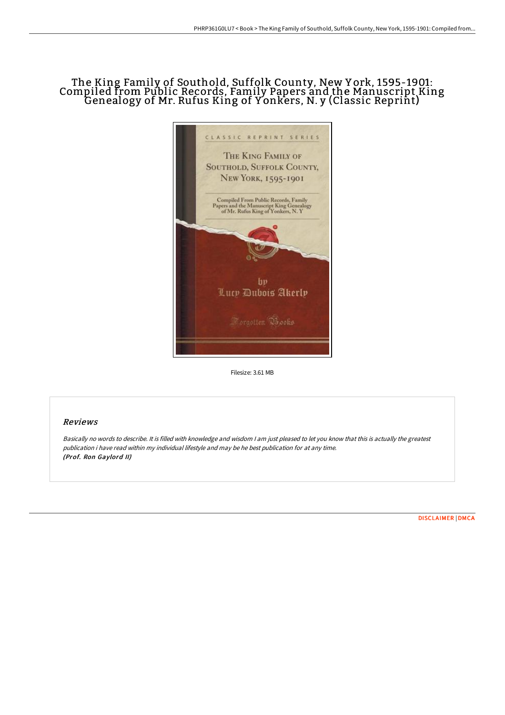# The King Family of Southold, Suffolk County, New Y ork, 1595-1901: Compiled from Public Records, Family Papers and the Manuscript King Genealogy of Mr. Rufus King of <sup>Y</sup> onkers, N. <sup>y</sup> (Classic Reprint)



Filesize: 3.61 MB

### Reviews

Basically no words to describe. It is filled with knowledge and wisdom <sup>I</sup> am just pleased to let you know that this is actually the greatest publication i have read within my individual lifestyle and may be he best publication for at any time. (Prof. Ron Gaylord II)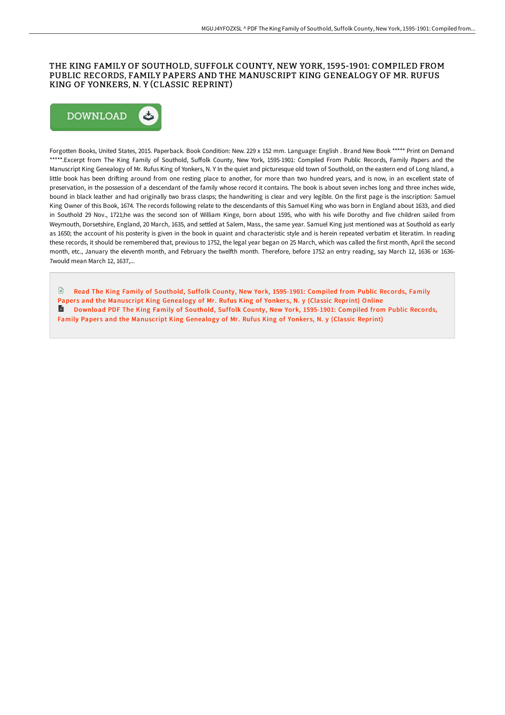#### THE KING FAMILY OF SOUTHOLD, SUFFOLK COUNTY, NEW YORK, 1595-1901: COMPILED FROM PUBLIC RECORDS, FAMILY PAPERS AND THE MANUSCRIPT KING GENEALOGY OF MR. RUFUS KING OF YONKERS, N. Y (CLASSIC REPRINT)



Forgotten Books, United States, 2015. Paperback. Book Condition: New. 229 x 152 mm. Language: English . Brand New Book \*\*\*\*\* Print on Demand \*\*\*\*\*.Excerpt from The King Family of Southold, Suffolk County, New York, 1595-1901: Compiled From Public Records, Family Papers and the Manuscript King Genealogy of Mr. Rufus King of Yonkers, N. Y In the quiet and picturesque old town of Southold, on the eastern end of Long Island, a little book has been drifting around from one resting place to another, for more than two hundred years, and is now, in an excellent state of preservation, in the possession of a descendant of the family whose record it contains. The book is about seven inches long and three inches wide, bound in black leather and had originally two brass clasps; the handwriting is clear and very legible. On the first page is the inscription: Samuel King Owner of this Book, 1674. The records following relate to the descendants of this Samuel King who was born in England about 1633, and died in Southold 29 Nov., 1721;he was the second son of William Kinge, born about 1595, who with his wife Dorothy and five children sailed from Weymouth, Dorsetshire, England, 20 March, 1635, and settled at Salem, Mass., the same year. Samuel King just mentioned was at Southold as early as 1650; the account of his posterity is given in the book in quaint and characteristic style and is herein repeated verbatim et literatim. In reading these records, it should be remembered that, previous to 1752, the legal year began on 25 March, which was called the first month, April the second month, etc., January the eleventh month, and February the twelfth month. Therefore, before 1752 an entry reading, say March 12, 1636 or 1636-7would mean March 12, 1637,...

Read The King Family of Southold, Suffolk County, New York, 1595-1901: Compiled from Public Records, Family Papers and the [Manuscript](http://techno-pub.tech/the-king-family-of-southold-suffolk-county-new-y.html) King Genealogy of Mr. Rufus King of Yonkers, N. y (Classic Reprint) Online A Download PDF The King Family of Southold, Suffolk County, New York, 1595-1901: Compiled from Public Records, Family Papers and the [Manuscript](http://techno-pub.tech/the-king-family-of-southold-suffolk-county-new-y.html) King Genealogy of Mr. Rufus King of Yonkers, N. y (Classic Reprint)